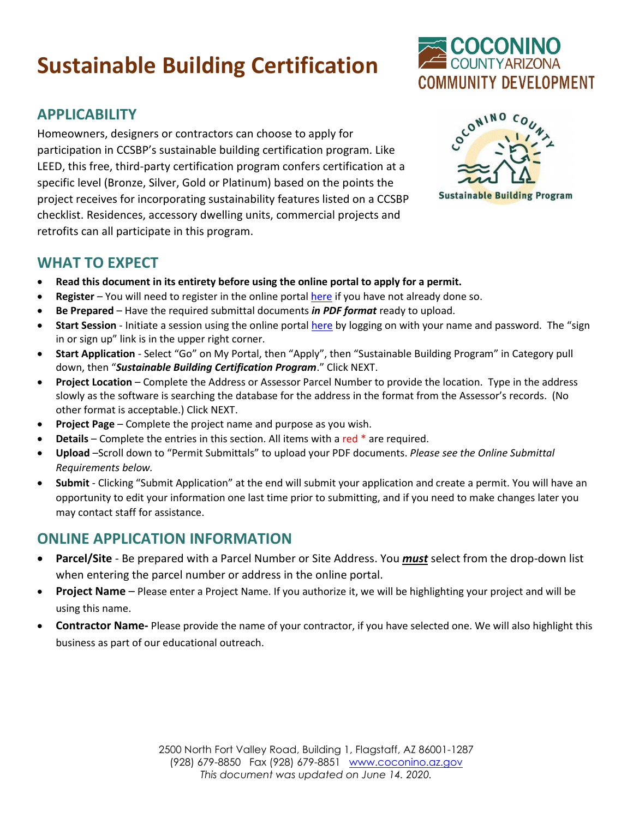# **Sustainable Building Certification**

# **APPLICABILITY**

Homeowners, designers or contractors can choose to apply for participation in CCSBP's sustainable building certification program. Like LEED, this free, third-party certification program confers certification at a specific level (Bronze, Silver, Gold or Platinum) based on the points the project receives for incorporating sustainability features listed on a CCSBP checklist. Residences, accessory dwelling units, commercial projects and retrofits can all participate in this program.



COCONINO

**COMMUNITY DEVELOPMENT** 

## **WHAT TO EXPECT**

- **Read this document in its entirety before using the online portal to apply for a permit.**
- **Register**  You will need to register in the online portal [here](https://co-coconino-az.smartgovcommunity.com/Public/Home) if you have not already done so.
- **Be Prepared** Have the required submittal documents *in PDF format* ready to upload.
- **Start Session** Initiate a session using the online portal [here](https://co-coconino-az.smartgovcommunity.com/Public/Home) by logging on with your name and password. The "sign in or sign up" link is in the upper right corner.
- **Start Application** Select "Go" on My Portal, then "Apply", then "Sustainable Building Program" in Category pull down, then "*Sustainable Building Certification Program*." Click NEXT.
- **Project Location** Complete the Address or Assessor Parcel Number to provide the location. Type in the address slowly as the software is searching the database for the address in the format from the Assessor's records. (No other format is acceptable.) Click NEXT.
- **Project Page** Complete the project name and purpose as you wish.
- **Details** Complete the entries in this section. All items with a red \* are required.
- **Upload** –Scroll down to "Permit Submittals" to upload your PDF documents. *Please see the Online Submittal Requirements below.*
- **Submit**  Clicking "Submit Application" at the end will submit your application and create a permit. You will have an opportunity to edit your information one last time prior to submitting, and if you need to make changes later you may contact staff for assistance.

## **ONLINE APPLICATION INFORMATION**

- **Parcel/Site** Be prepared with a Parcel Number or Site Address. You *must* select from the drop-down list when entering the parcel number or address in the online portal.
- **Project Name** Please enter a Project Name. If you authorize it, we will be highlighting your project and will be using this name.
- **Contractor Name-** Please provide the name of your contractor, if you have selected one. We will also highlight this business as part of our educational outreach.